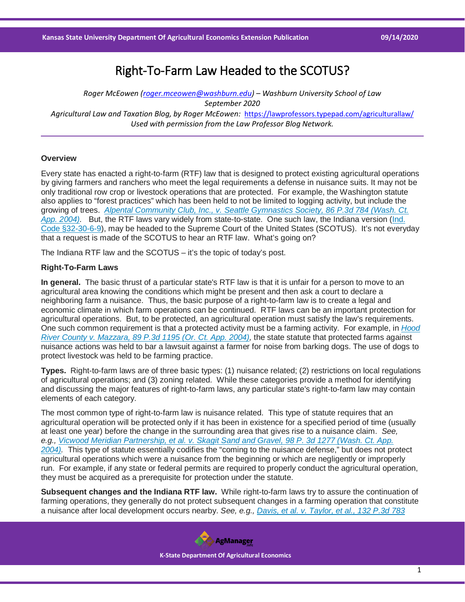# Right-To-Farm Law Headed to the SCOTUS?

*Roger McEowen [\(roger.mceowen@washburn.edu\)](mailto:roger.mceowen@washburn.edu) – Washburn University School of Law September 2020 Agricultural Law and Taxation Blog, by Roger McEowen:* <https://lawprofessors.typepad.com/agriculturallaw/> *Used with permission from the Law Professor Blog Network.* 

#### **Overview**

Every state has enacted a right-to-farm (RTF) law that is designed to protect existing agricultural operations by giving farmers and ranchers who meet the legal requirements a defense in nuisance suits. It may not be only traditional row crop or livestock operations that are protected. For example, the Washington statute also applies to "forest practices" which has been held to not be limited to logging activity, but include the growing of trees. *[Alpental Community Club, Inc., v. Seattle Gymnastics Society, 86 P.3d 784 \(Wash. Ct.](https://casetext.com/case/alpental-cmty-club-v-gymnastics-socy?ref=ArRBZs!RkGYD0)  [App. 2004\).](https://casetext.com/case/alpental-cmty-club-v-gymnastics-socy?ref=ArRBZs!RkGYD0)* But, the RTF laws vary widely from state-to-state. One such law, the Indiana version [\(Ind.](https://casetext.com/statute/indiana-code/title-32-property/article-30-causes-of-action-concerning-real-property/chapter-6-nuisance-actions/section-32-30-6-9-agricultural-and-industrial-operations-findings-continuity-of-operations-circumstances-in-which-nuisance-does-not-exist?ref=ArRBZs!ujOO36)  [Code §32-30-6-9\)](https://casetext.com/statute/indiana-code/title-32-property/article-30-causes-of-action-concerning-real-property/chapter-6-nuisance-actions/section-32-30-6-9-agricultural-and-industrial-operations-findings-continuity-of-operations-circumstances-in-which-nuisance-does-not-exist?ref=ArRBZs!ujOO36), may be headed to the Supreme Court of the United States (SCOTUS). It's not everyday that a request is made of the SCOTUS to hear an RTF law. What's going on?

The Indiana RTF law and the SCOTUS – it's the topic of today's post.

### **Right-To-Farm Laws**

**In general.** The basic thrust of a particular state's RTF law is that it is unfair for a person to move to an agricultural area knowing the conditions which might be present and then ask a court to declare a neighboring farm a nuisance. Thus, the basic purpose of a right-to-farm law is to create a legal and economic climate in which farm operations can be continued. RTF laws can be an important protection for agricultural operations. But, to be protected, an agricultural operation must satisfy the law's requirements. One such common requirement is that a protected activity must be a farming activity. For example, in *[Hood](https://casetext.com/case/hood-river-county-v-mazzara?ref=ArRBZs!nPtnTM)  [River County v. Mazzara, 89 P.3d 1195 \(Or. Ct. App. 2004\),](https://casetext.com/case/hood-river-county-v-mazzara?ref=ArRBZs!nPtnTM)* the state statute that protected farms against nuisance actions was held to bar a lawsuit against a farmer for noise from barking dogs. The use of dogs to protect livestock was held to be farming practice.

**Types.** Right-to-farm laws are of three basic types: (1) nuisance related; (2) restrictions on local regulations of agricultural operations; and (3) zoning related. While these categories provide a method for identifying and discussing the major features of right-to-farm laws, any particular state's right-to-farm law may contain elements of each category.

The most common type of right-to-farm law is nuisance related. This type of statute requires that an agricultural operation will be protected only if it has been in existence for a specified period of time (usually at least one year) before the change in the surrounding area that gives rise to a nuisance claim. *See, e.g., [Vicwood Meridian Partnership, et al. v. Skagit Sand and Gravel, 98 P. 3d 1277 \(Wash. Ct. App.](https://casetext.com/case/vicwood-meridian-pship-v-skagit-sand?ref=ArRBZs!kXbtfH)  [2004\).](https://casetext.com/case/vicwood-meridian-pship-v-skagit-sand?ref=ArRBZs!kXbtfH)* This type of statute essentially codifies the "coming to the nuisance defense," but does not protect agricultural operations which were a nuisance from the beginning or which are negligently or improperly run. For example, if any state or federal permits are required to properly conduct the agricultural operation, they must be acquired as a prerequisite for protection under the statute.

**Subsequent changes and the Indiana RTF law.** While right-to-farm laws try to assure the continuation of farming operations, they generally do not protect subsequent changes in a farming operation that constitute a nuisance after local development occurs nearby. *See, e.g., [Davis, et al. v. Taylor, et al., 132 P.3d 783](https://casetext.com/case/davis-v-taylor-4?ref=ArRBZs!NhZDLi)* 

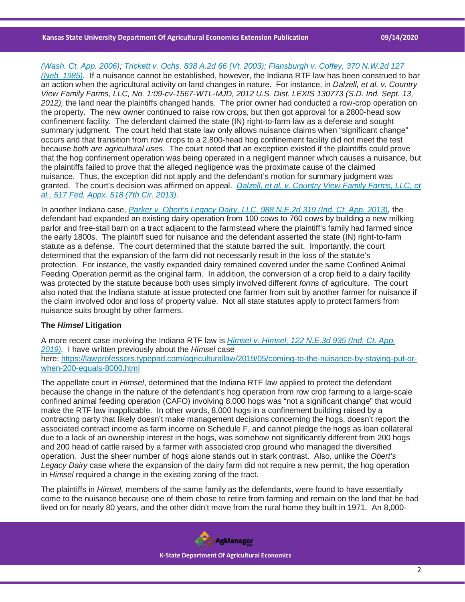#### **Kansas State University Department Of Agricultural Economics Extension Publication 09/14/2020**

## *[\(Wash. Ct. App. 2006\);](https://casetext.com/case/davis-v-taylor-4?ref=ArRBZs!NhZDLi) [Trickett v. Ochs, 838 A.2d 66 \(Vt. 2003\);](https://casetext.com/case/trickett-v-ochs?ref=ArRBZs!Dugm11) [Flansburgh v. Coffey, 370 N.W.2d 127](https://casetext.com/case/flansburgh-v-coffey?ref=ArRBZs!ETu4MR)*

*[\(Neb. 1985\).](https://casetext.com/case/flansburgh-v-coffey?ref=ArRBZs!ETu4MR)* If a nuisance cannot be established, however, the Indiana RTF law has been construed to bar an action when the agricultural activity on land changes in nature. For instance, in *Dalzell, et al. v. Country View Family Farms, LLC, No. 1:09-cv-1567-WTL-MJD, 2012 U.S. Dist. LEXIS 130773 (S.D. Ind. Sept. 13, 2012),* the land near the plaintiffs changed hands. The prior owner had conducted a row-crop operation on the property. The new owner continued to raise row crops, but then got approval for a 2800-head sow confinement facility. The defendant claimed the state (IN) right-to-farm law as a defense and sought summary judgment. The court held that state law only allows nuisance claims when "significant change" occurs and that transition from row crops to a 2,800-head hog confinement facility did not meet the test because *both are agricultural uses.* The court noted that an exception existed if the plaintiffs could prove that the hog confinement operation was being operated in a negligent manner which causes a nuisance, but the plaintiffs failed to prove that the alleged negligence was the proximate cause of the claimed nuisance. Thus, the exception did not apply and the defendant's motion for summary judgment was granted. The court's decision was affirmed on appeal. *[Dalzell, et al. v. Country View Family Farms, LLC, et](https://casetext.com/case/dalzell-v-country-view-family-farms-llc?ref=ArRBZs!R9DHDt)  [al., 517 Fed. Appx. 518 \(7th Cir. 2013\).](https://casetext.com/case/dalzell-v-country-view-family-farms-llc?ref=ArRBZs!R9DHDt)*

In another Indiana case, *[Parker v. Obert's Legacy Dairy, LLC, 988 N.E.2d 319 \(Ind. Ct. App. 2013\),](https://casetext.com/case/parker-v-oberts-legacy-dairy?ref=ArRBZs!upuvw9)* the defendant had expanded an existing dairy operation from 100 cows to 760 cows by building a new milking parlor and free-stall barn on a tract adjacent to the farmstead where the plaintiff's family had farmed since the early 1800s. The plaintiff sued for nuisance and the defendant asserted the state (IN) right-to-farm statute as a defense. The court determined that the statute barred the suit. Importantly, the court determined that the expansion of the farm did not necessarily result in the loss of the statute's protection. For instance, the vastly expanded dairy remained covered under the same Confined Animal Feeding Operation permit as the original farm. In addition, the conversion of a crop field to a dairy facility was protected by the statute because both uses simply involved different *forms* of agriculture. The court also noted that the Indiana statute at issue protected one farmer from suit by another farmer for nuisance if the claim involved odor and loss of property value. Not all state statutes apply to protect farmers from nuisance suits brought by other farmers.

# **The** *Himsel* **Litigation**

A more recent case involving the Indiana RTF law is *[Himsel v. Himsel, 122 N.E.3d 935 \(Ind. Ct. App.](https://casetext.com/case/himsel-v-himsel?ref=ArRBZs!Cw68de)  [2019\).](https://casetext.com/case/himsel-v-himsel?ref=ArRBZs!Cw68de)* I have written previously about the *Himsel* case here: [https://lawprofessors.typepad.com/agriculturallaw/2019/05/coming-to-the-nuisance-by-staying-put-or](https://lawprofessors.typepad.com/agriculturallaw/2019/05/coming-to-the-nuisance-by-staying-put-or-when-200-equals-8000.html)[when-200-equals-8000.html](https://lawprofessors.typepad.com/agriculturallaw/2019/05/coming-to-the-nuisance-by-staying-put-or-when-200-equals-8000.html)

The appellate court in *Himsel*, determined that the Indiana RTF law applied to protect the defendant because the change in the nature of the defendant's hog operation from row crop farming to a large-scale confined animal feeding operation (CAFO) involving 8,000 hogs was "not a significant change" that would make the RTF law inapplicable. In other words, 8,000 hogs in a confinement building raised by a contracting party that likely doesn't make management decisions concerning the hogs, doesn't report the associated contract income as farm income on Schedule F, and cannot pledge the hogs as loan collateral due to a lack of an ownership interest in the hogs, was somehow not significantly different from 200 hogs and 200 head of cattle raised by a farmer with associated crop ground who managed the diversified operation. Just the sheer number of hogs alone stands out in stark contrast. Also, unlike the *Obert's Legacy Dairy* case where the expansion of the dairy farm did not require a new permit, the hog operation in *Himsel* required a change in the existing zoning of the tract.

The plaintiffs in *Himsel,* members of the same family as the defendants, were found to have essentially come to the nuisance because one of them chose to retire from farming and remain on the land that he had lived on for nearly 80 years, and the other didn't move from the rural home they built in 1971. An 8,000-

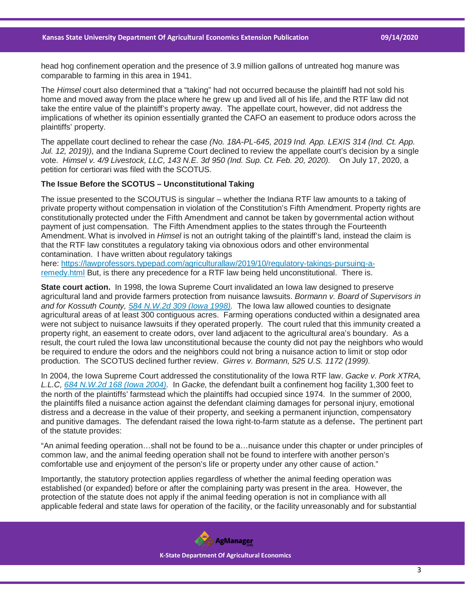head hog confinement operation and the presence of 3.9 million gallons of untreated hog manure was comparable to farming in this area in 1941.

The *Himsel* court also determined that a "taking" had not occurred because the plaintiff had not sold his home and moved away from the place where he grew up and lived all of his life, and the RTF law did not take the entire value of the plaintiff's property away. The appellate court, however, did not address the implications of whether its opinion essentially granted the CAFO an easement to produce odors across the plaintiffs' property.

The appellate court declined to rehear the case *(No. 18A-PL-645, 2019 Ind. App. LEXIS 314 (Ind. Ct. App. Jul. 12, 2019)),* and the Indiana Supreme Court declined to review the appellate court's decision by a single vote. *Himsel v. 4/9 Livestock, LLC, 143 N.E. 3d 950 (Ind. Sup. Ct. Feb. 20, 2020).* On July 17, 2020, a petition for certiorari was filed with the SCOTUS.

#### **The Issue Before the SCOTUS – Unconstitutional Taking**

The issue presented to the SCOUTUS is singular – whether the Indiana RTF law amounts to a taking of private property without compensation in violation of the Constitution's Fifth Amendment. Property rights are constitutionally protected under the Fifth Amendment and cannot be taken by governmental action without payment of just compensation. The Fifth Amendment applies to the states through the Fourteenth Amendment. What is involved in *Himsel* is not an outright taking of the plaintiff's land, instead the claim is that the RTF law constitutes a regulatory taking via obnoxious odors and other environmental contamination. I have written about regulatory takings

here: [https://lawprofessors.typepad.com/agriculturallaw/2019/10/regulatory-takings-pursuing-a](https://lawprofessors.typepad.com/agriculturallaw/2019/10/regulatory-takings-pursuing-a-remedy.html)[remedy.html](https://lawprofessors.typepad.com/agriculturallaw/2019/10/regulatory-takings-pursuing-a-remedy.html) But, is there any precedence for a RTF law being held unconstitutional. There is.

**State court action.** In 1998, the Iowa Supreme Court invalidated an Iowa law designed to preserve agricultural land and provide farmers protection from nuisance lawsuits. *Bormann v. Board of Supervisors in and for Kossuth County, [584 N.W.2d 309 \(Iowa 1998\).](https://casetext.com/case/bormann-v-kossuth-county-bd-of-suprs?ref=ArRBZs!f71cbz)* The Iowa law allowed counties to designate agricultural areas of at least 300 contiguous acres. Farming operations conducted within a designated area were not subject to nuisance lawsuits if they operated properly. The court ruled that this immunity created a property right, an easement to create odors, over land adjacent to the agricultural area's boundary. As a result, the court ruled the Iowa law unconstitutional because the county did not pay the neighbors who would be required to endure the odors and the neighbors could not bring a nuisance action to limit or stop odor production. The SCOTUS declined further review. *Girres v. Bormann, 525 U.S. 1172 (1999).*

In 2004, the Iowa Supreme Court addressed the constitutionality of the Iowa RTF law. *Gacke v. Pork XTRA, L.L.C, [684 N.W.2d 168 \(Iowa 2004\).](https://casetext.com/case/gacke-v-pork-xtra?ref=ArRBZs!hhQrWk)* In *Gacke,* the defendant built a confinement hog facility 1,300 feet to the north of the plaintiffs' farmstead which the plaintiffs had occupied since 1974. In the summer of 2000, the plaintiffs filed a nuisance action against the defendant claiming damages for personal injury, emotional distress and a decrease in the value of their property, and seeking a permanent injunction, compensatory and punitive damages. The defendant raised the Iowa right-to-farm statute as a defense**.** The pertinent part of the statute provides:

"An animal feeding operation…shall not be found to be a…nuisance under this chapter or under principles of common law, and the animal feeding operation shall not be found to interfere with another person's comfortable use and enjoyment of the person's life or property under any other cause of action."

Importantly, the statutory protection applies regardless of whether the animal feeding operation was established (or expanded) before or after the complaining party was present in the area. However, the protection of the statute does not apply if the animal feeding operation is not in compliance with all applicable federal and state laws for operation of the facility, or the facility unreasonably and for substantial